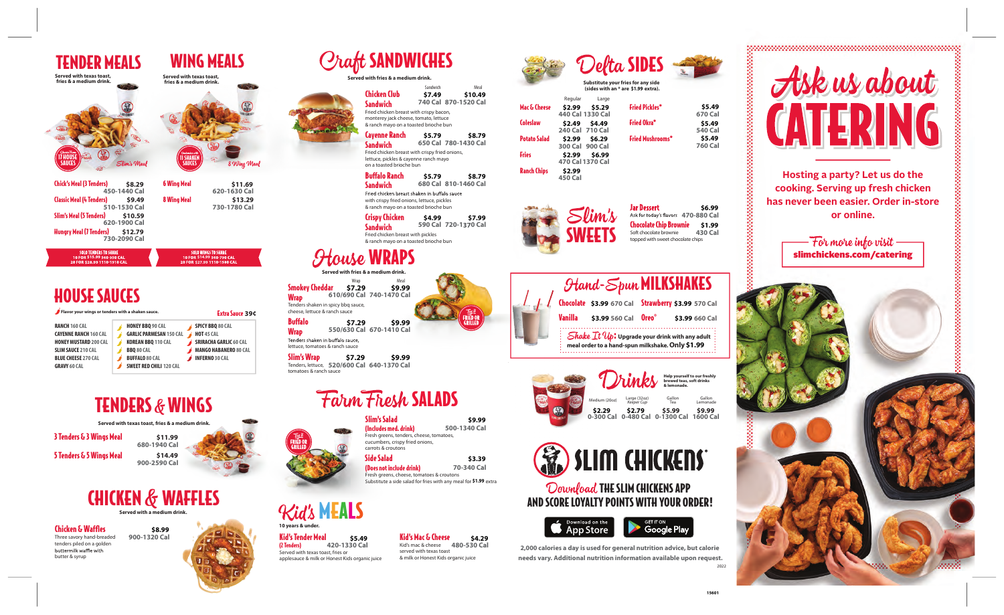**Hosting a party? Let us do the cooking. Serving up fresh chicken has never been easier. Order in-store or online.**

- For more info visit  $\overline{\phantom{a}}$ slimchickens.com/catering

TENDER MEALS WING MEALS

# MEALS



#### Download THE SLIM CHICKENS APP AND SCORE LOYALTY POINTS WITH YOUR ORDER!



Chicken Club **Sandwich** 

Sandwich Meal<br>**S7.49 S10.4** 

Kids organic juice **420-1330 Cal**

**Jar Dessert \$6.99** Ask for today's flavors 470-880 Cal **Chocolate Chip Brownie \$1.99**<br>
Soft chocolate brownie **430 Cal** topped with sweet chocolate chips

|  | Fried chicken breast with crispy bacon,<br>monterey jack cheese, tomato, lettuce<br>& ranch mayo on a toasted brioche bun                                                                                           |        |                                |  |
|--|---------------------------------------------------------------------------------------------------------------------------------------------------------------------------------------------------------------------|--------|--------------------------------|--|
|  | Cayenne Ranch<br><b>Sandwich</b><br>Fried chicken breast with crispy fried onions,<br>lettuce, pickles & cayenne ranch mayo<br>on a toasted brioche bun                                                             | \$5.79 | \$8.79<br>650 Cal 780-1430 Cal |  |
|  | <b>Buffalo Ranch</b><br>\$5.79<br>\$8.79<br>680 Cal 810-1460 Cal<br>Sandwich<br>Fried chicken breast shaken in buffalo sauce<br>with crispy fried onions, lettuce, pickles<br>& ranch mayo on a toasted brioche bun |        |                                |  |
|  | <b>Crispy Chicken</b><br><b>Sandwich</b><br>Fried chicken breast with pickles<br>& ranch mayo on a toasted brioche bun                                                                                              | \$4.99 | \$7.99<br>590 Cal 720-1370 Cal |  |

**Served with fries & a m** 

**Craft SANDWICHES** 

**2,000 calories a day is used for general nutrition advice, but calorie needs vary. Additional nutrition information available upon request.** 2022



| Served with texas toast,<br>fries & a medium drink.                                                                                |                                                                                 | Served with texas toast,<br>fries & a medium drink. |                                                                                          |                                                                                                                    |
|------------------------------------------------------------------------------------------------------------------------------------|---------------------------------------------------------------------------------|-----------------------------------------------------|------------------------------------------------------------------------------------------|--------------------------------------------------------------------------------------------------------------------|
|                                                                                                                                    |                                                                                 |                                                     |                                                                                          |                                                                                                                    |
| 17 HOUSE                                                                                                                           |                                                                                 | II SHAKEN                                           |                                                                                          |                                                                                                                    |
| SAUCES                                                                                                                             | Slim's Meal                                                                     | SAUCES                                              | 8 Wing Meal                                                                              |                                                                                                                    |
| <b>Chick's Meal (3 Tenders)</b>                                                                                                    | \$8.29<br>450-1440 Cal                                                          | <b>6 Wing Meal</b>                                  | \$11.69<br>620-1630 Cal                                                                  |                                                                                                                    |
| <b>Classic Meal (4 Tenders)</b>                                                                                                    | \$9.49<br>510-1530 Cal                                                          | 8 Wing Meal                                         | \$13.29<br>730-1780 Cal                                                                  |                                                                                                                    |
| Slim's Meal (5 Tenders)                                                                                                            | \$10.59<br>620-1900 Cal                                                         |                                                     |                                                                                          |                                                                                                                    |
| <b>Hungry Meal (7 Tenders)</b>                                                                                                     | \$12.79<br>730-2090 Cal                                                         |                                                     |                                                                                          |                                                                                                                    |
| <b>SOLO TENDERS TO SHARE</b><br>10 FOR \$15.99 560-950 CAL<br>20 FOR \$28.99 1110-1910 CAL                                         |                                                                                 |                                                     | <b>SOLO WINGS TO SHARE</b><br>10 FOR \$14.99 560-790 CAL<br>20 FOR \$27.99 1110-1580 CAL | <b>Served with</b>                                                                                                 |
| <b>HOUSE SAUCES</b>                                                                                                                |                                                                                 |                                                     |                                                                                          | <b>Smokey Cheddar</b><br>610/69                                                                                    |
| Flavor your wings or tenders with a shaken sauce.                                                                                  |                                                                                 |                                                     | <b>Extra Sauce 39¢</b>                                                                   | <b>Wrap</b><br>Tenders shaken in spicy bbo<br>cheese, lettuce & ranch sau                                          |
| <b>RANCH 160 CAL</b><br><b>CAYENNE RANCH 160 CAL</b><br><b>HONEY MUSTARD 200 CAL</b>                                               | <b>HONEY BBQ 90 CAL</b><br><b>GARLIC PARMESAN 150 CAL</b><br>KOREAN BBQ 110 CAL |                                                     | <b>SPICY BBQ 80 CAL</b><br><b>HOT 45 CAL</b><br><b>SRIRACHA GARLIC 60 CAL</b>            | <b>Buffalo</b><br>550/63<br><b>Wrap</b><br>Tenders shaken in buffalo sa                                            |
| <b>SLIM SAUCE 210 CAL</b><br><b>BLUE CHEESE 270 CAL</b><br><b>GRAVY 60 CAL</b>                                                     | <b>BBQ 80 CAL</b><br><b>BUFFALO 80 CAL</b><br><b>SWEET RED CHILI 120 CAL</b>    |                                                     | <b>MANGO HABANERO 80 CAL</b><br><b>INFERNO 30 CAL</b>                                    | lettuce, tomatoes & ranch sa<br><b>Slim's Wrap</b><br>Tenders, lettuce, 520/60<br>tomatoes & ranch sauce           |
|                                                                                                                                    |                                                                                 |                                                     |                                                                                          |                                                                                                                    |
|                                                                                                                                    | <b>TENDERS &amp; WINGS</b>                                                      |                                                     |                                                                                          |                                                                                                                    |
|                                                                                                                                    | Served with texas toast, fries & a medium drink.                                |                                                     |                                                                                          |                                                                                                                    |
| 3 Tenders & 3 Wings Meal                                                                                                           | 680-1940 Cal                                                                    | \$11.99                                             |                                                                                          | FRIED OR<br>GRILLED                                                                                                |
| 5 Tenders & 5 Wings Meal                                                                                                           | 900-2590 Cal                                                                    | \$14.49                                             |                                                                                          |                                                                                                                    |
|                                                                                                                                    | <b>CHICKEN &amp; WAFFLES</b>                                                    |                                                     |                                                                                          |                                                                                                                    |
|                                                                                                                                    | Served with a medium drink.                                                     |                                                     |                                                                                          | <b>Kid's MEA</b><br>10 years & under.                                                                              |
| <b>Chicken &amp; Waffles</b><br>Three savory hand-breaded<br>tenders piled on a golden<br>buttermilk waffle with<br>butter & syrup | \$8.99<br>900-1320 Cal                                                          |                                                     |                                                                                          | Kid's Tender Meal<br>420-13<br>(2 Tenders)<br>Served with texas toast, fries or<br>applesauce & milk or Honest Kio |
|                                                                                                                                    |                                                                                 |                                                     |                                                                                          |                                                                                                                    |
|                                                                                                                                    |                                                                                 |                                                     |                                                                                          |                                                                                                                    |
|                                                                                                                                    |                                                                                 |                                                     |                                                                                          |                                                                                                                    |
|                                                                                                                                    |                                                                                 |                                                     |                                                                                          |                                                                                                                    |

**Served with fries & a medium drink.** bq sauce, uce Wrap Mea **610/690 Cal 740-1470 Cal \$7.29 \$9.99**

| Delta SIDES                                                               |  |
|---------------------------------------------------------------------------|--|
| Substitute your fries for any side<br>(sides with an * are \$1,99 extra). |  |

# Slim's Salad





| <b>Hand-Spun MILKSHAKES</b>                                                                                                         |                                  |                                                    |                |  |
|-------------------------------------------------------------------------------------------------------------------------------------|----------------------------------|----------------------------------------------------|----------------|--|
|                                                                                                                                     |                                  | Chocolate \$3.99 670 Cal Strawberry \$3.99 570 Cal |                |  |
| Vanilla                                                                                                                             | \$3.99 560 Cal Oreo <sup>®</sup> |                                                    | \$3.99 660 Cal |  |
| Shake $\mathcal{I}t$ $\mathcal{U}p$ : Upgrade your drink with any adult<br> -<br>  meal order to a hand-spun milkshake. Only \$1.99 |                                  |                                                    |                |  |

(Includes med. drink) Fresh greens, tenders, cheese, tomatoes, cucumbers, crispy fried onions, carrots & croutons **500-1340 Cal**

**740 Cal 870-1520 Cal**

Side Salad (Does not include drink) Fresh greens, cheese, tomatoes & croutons **70-340 Cal \$3.39**

Substitute a side salad for fries with any meal for \$1.99 extra

| \$2.99                   | \$5.29  | <b>Fried Pickles*</b>                                                               | \$5.49<br>670 Cal        |
|--------------------------|---------|-------------------------------------------------------------------------------------|--------------------------|
| \$2.49                   | \$4.49  | <b>Fried Okra*</b>                                                                  | \$5.49<br><b>540 Cal</b> |
| \$2.99                   | \$6.29  | <b>Fried Mushrooms*</b>                                                             | \$5.49<br><b>760 Cal</b> |
| \$2.99                   | \$6.99  |                                                                                     |                          |
| \$2.99<br><b>450 Cal</b> |         |                                                                                     |                          |
|                          | Regular | Large<br>440 Cal 1330 Cal<br>240 Cal 710 Cal<br>300 Cal 900 Cal<br>470 Cal 1370 Cal |                          |

#### Kid's Mac & Cheese **\$5.49 \$4.29** Kid's mac & cheese **480-530 Cal** served with texas toast

**550/630 Cal 670-1410 Cal \$7.29 \$9.99**

sauce, l sauce

& milk or Honest Kids organic juice

**520/600 Cal 640-1370 Cal \$7.29 \$9.99**

## un Fhesh SALADS

**\$9.99**

### use WRAPS

**\$7.49 \$10.49**